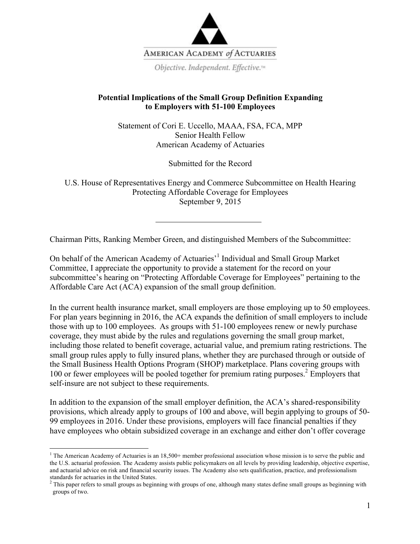

## **Potential Implications of the Small Group Definition Expanding to Employers with 51-100 Employees**

Statement of Cori E. Uccello, MAAA, FSA, FCA, MPP Senior Health Fellow American Academy of Actuaries

Submitted for the Record

U.S. House of Representatives Energy and Commerce Subcommittee on Health Hearing Protecting Affordable Coverage for Employees September 9, 2015

Chairman Pitts, Ranking Member Green, and distinguished Members of the Subcommittee:

On behalf of the American Academy of Actuaries<sup>,1</sup> Individual and Small Group Market Committee, I appreciate the opportunity to provide a statement for the record on your subcommittee's hearing on "Protecting Affordable Coverage for Employees" pertaining to the Affordable Care Act (ACA) expansion of the small group definition.

In the current health insurance market, small employers are those employing up to 50 employees. For plan years beginning in 2016, the ACA expands the definition of small employers to include those with up to 100 employees. As groups with 51-100 employees renew or newly purchase coverage, they must abide by the rules and regulations governing the small group market, including those related to benefit coverage, actuarial value, and premium rating restrictions. The small group rules apply to fully insured plans, whether they are purchased through or outside of the Small Business Health Options Program (SHOP) marketplace. Plans covering groups with 100 or fewer employees will be pooled together for premium rating purposes.<sup>2</sup> Employers that self-insure are not subject to these requirements.

In addition to the expansion of the small employer definition, the ACA's shared-responsibility provisions, which already apply to groups of 100 and above, will begin applying to groups of 50- 99 employees in 2016. Under these provisions, employers will face financial penalties if they have employees who obtain subsidized coverage in an exchange and either don't offer coverage

<sup>&</sup>lt;sup>1</sup> The American Academy of Actuaries is an  $18,500+$  member professional association whose mission is to serve the public and the U.S. actuarial profession. The Academy assists public policymakers on all levels by providing leadership, objective expertise, and actuarial advice on risk and financial security issues. The Academy also sets qualification, practice, and professionalism standards for actuaries in the United States.

 $<sup>2</sup>$  This paper refers to small groups as beginning with groups of one, although many states define small groups as beginning with</sup> groups of two.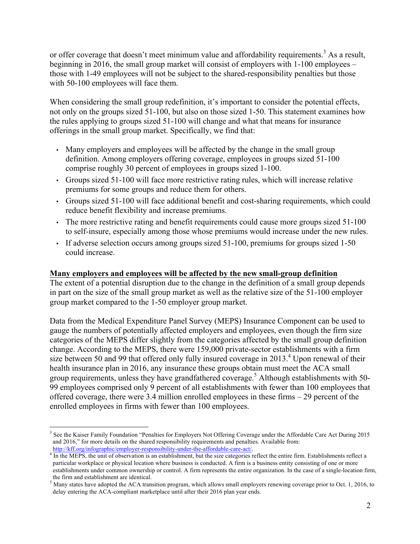or offer coverage that doesn't meet minimum value and affordability requirements.<sup>3</sup> As a result, beginning in 2016, the small group market will consist of employers with 1-100 employees – those with 1-49 employees will not be subject to the shared-responsibility penalties but those with 50-100 employees will face them.

When considering the small group redefinition, it's important to consider the potential effects, not only on the groups sized 51-100, but also on those sized 1-50. This statement examines how the rules applying to groups sized 51-100 will change and what that means for insurance offerings in the small group market. Specifically, we find that:

- Many employers and employees will be affected by the change in the small group definition. Among employers offering coverage, employees in groups sized 51-100 comprise roughly 30 percent of employees in groups sized 1-100.
- Groups sized 51-100 will face more restrictive rating rules, which will increase relative premiums for some groups and reduce them for others.
- Groups sized 51-100 will face additional benefit and cost-sharing requirements, which could reduce benefit flexibility and increase premiums.
- The more restrictive rating and benefit requirements could cause more groups sized 51-100 to self-insure, especially among those whose premiums would increase under the new rules.
- If adverse selection occurs among groups sized 51-100, premiums for groups sized 1-50 could increase.

## **Many employers and employees will be affected by the new small-group definition**

The extent of a potential disruption due to the change in the definition of a small group depends in part on the size of the small group market as well as the relative size of the 51-100 employer group market compared to the 1-50 employer group market.

Data from the Medical Expenditure Panel Survey (MEPS) Insurance Component can be used to gauge the numbers of potentially affected employers and employees, even though the firm size categories of the MEPS differ slightly from the categories affected by the small group definition change. According to the MEPS, there were 159,000 private-sector establishments with a firm size between 50 and 99 that offered only fully insured coverage in  $2013<sup>4</sup>$  Upon renewal of their health insurance plan in 2016, any insurance these groups obtain must meet the ACA small group requirements, unless they have grandfathered coverage.<sup>5</sup> Although establishments with 50-99 employees comprised only 9 percent of all establishments with fewer than 100 employees that offered coverage, there were 3.4 million enrolled employees in these firms – 29 percent of the enrolled employees in firms with fewer than 100 employees.

<sup>&</sup>lt;sup>3</sup> See the Kaiser Family Foundation "Penalties for Employers Not Offering Coverage under the Affordable Care Act During 2015 and 2016," for more details on the shared responsibility requirements and penalties. Available from:

http://kff.org/infographic/employer-responsibility-under-the-affordable-care-act/.<br><sup>4</sup> In the MEPS, the unit of observation is an establishment, but the size categories reflect the entire firm. Establishments reflect a particular workplace or physical location where business is conducted. A firm is a business entity consisting of one or more establishments under common ownership or control. A firm represents the entire organization. In the case of a single-location firm, the firm and establishment are identical.

 $<sup>5</sup>$  Many states have adopted the ACA transition program, which allows small employers renewing coverage prior to Oct. 1, 2016, to</sup> delay entering the ACA-compliant marketplace until after their 2016 plan year ends.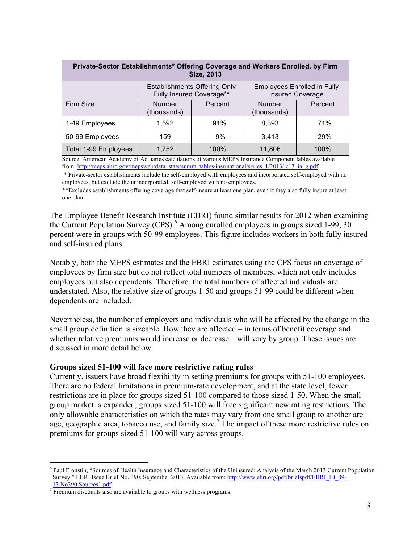| Private-Sector Establishments* Offering Coverage and Workers Enrolled, by Firm<br><b>Size, 2013</b> |                                                                 |         |                                                               |         |  |
|-----------------------------------------------------------------------------------------------------|-----------------------------------------------------------------|---------|---------------------------------------------------------------|---------|--|
|                                                                                                     | <b>Establishments Offering Only</b><br>Fully Insured Coverage** |         | <b>Employees Enrolled in Fully</b><br><b>Insured Coverage</b> |         |  |
| Firm Size                                                                                           | <b>Number</b><br>(thousands)                                    | Percent | <b>Number</b><br>(thousands)                                  | Percent |  |
| 1-49 Employees                                                                                      | 1.592                                                           | 91%     | 8,393                                                         | 71%     |  |
| 50-99 Employees                                                                                     | 159                                                             | 9%      | 3,413                                                         | 29%     |  |
| Total 1-99 Employees                                                                                | 1,752                                                           | 100%    | 11,806                                                        | 100%    |  |

Source: American Academy of Actuaries calculations of various MEPS Insurance Component tables available from: http://meps.ahrq.gov/mepsweb/data\_stats/summ\_tables/insr/national/series\_1/2013/ic13\_ia\_g.pdf.

\* Private-sector establishments include the self-employed with employees and incorporated self-employed with no employees, but exclude the unincorporated, self-employed with no employees.

\*\*Excludes establishments offering coverage that self-insure at least one plan, even if they also fully insure at least one plan.

The Employee Benefit Research Institute (EBRI) found similar results for 2012 when examining the Current Population Survey (CPS).<sup>6</sup> Among enrolled employees in groups sized 1-99, 30 percent were in groups with 50-99 employees. This figure includes workers in both fully insured and self-insured plans.

Notably, both the MEPS estimates and the EBRI estimates using the CPS focus on coverage of employees by firm size but do not reflect total numbers of members, which not only includes employees but also dependents. Therefore, the total numbers of affected individuals are understated. Also, the relative size of groups 1-50 and groups 51-99 could be different when dependents are included.

Nevertheless, the number of employers and individuals who will be affected by the change in the small group definition is sizeable. How they are affected – in terms of benefit coverage and whether relative premiums would increase or decrease – will vary by group. These issues are discussed in more detail below.

#### **Groups sized 51-100 will face more restrictive rating rules**

Currently, issuers have broad flexibility in setting premiums for groups with 51-100 employees. There are no federal limitations in premium-rate development, and at the state level, fewer restrictions are in place for groups sized 51-100 compared to those sized 1-50. When the small group market is expanded, groups sized 51-100 will face significant new rating restrictions. The only allowable characteristics on which the rates may vary from one small group to another are age, geographic area, tobacco use, and family size.<sup>7</sup> The impact of these more restrictive rules on premiums for groups sized 51-100 will vary across groups.

 <sup>6</sup> Paul Fronstin, "Sources of Health Insurance and Characteristics of the Uninsured: Analysis of the March 2013 Current Population Survey." EBRI Issue Brief No. 390. September 2013. Available from: http://www.ebri.org/pdf/briefspdf/EBRI\_IB\_09- $\frac{13.0390. \text{Source} \cdot 1. \text{pdf}}{$  Premium discounts also are available to groups with wellness programs.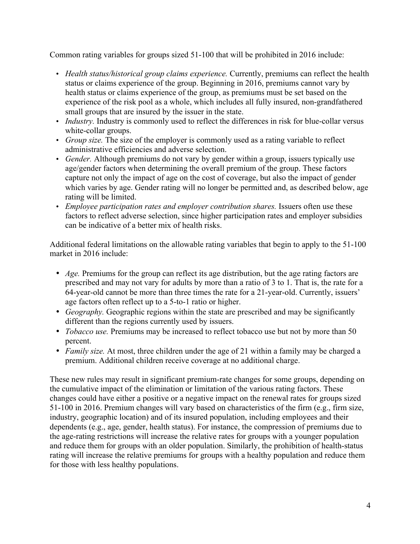Common rating variables for groups sized 51-100 that will be prohibited in 2016 include:

- *Health status/historical group claims experience.* Currently, premiums can reflect the health status or claims experience of the group. Beginning in 2016, premiums cannot vary by health status or claims experience of the group, as premiums must be set based on the experience of the risk pool as a whole, which includes all fully insured, non-grandfathered small groups that are insured by the issuer in the state.
- *Industry*. Industry is commonly used to reflect the differences in risk for blue-collar versus white-collar groups.
- *Group size.* The size of the employer is commonly used as a rating variable to reflect administrative efficiencies and adverse selection.
- *Gender.* Although premiums do not vary by gender within a group, issuers typically use age/gender factors when determining the overall premium of the group. These factors capture not only the impact of age on the cost of coverage, but also the impact of gender which varies by age. Gender rating will no longer be permitted and, as described below, age rating will be limited.
- *Employee participation rates and employer contribution shares.* Issuers often use these factors to reflect adverse selection, since higher participation rates and employer subsidies can be indicative of a better mix of health risks.

Additional federal limitations on the allowable rating variables that begin to apply to the 51-100 market in 2016 include:

- *Age.* Premiums for the group can reflect its age distribution, but the age rating factors are prescribed and may not vary for adults by more than a ratio of 3 to 1. That is, the rate for a 64-year-old cannot be more than three times the rate for a 21-year-old. Currently, issuers' age factors often reflect up to a 5-to-1 ratio or higher.
- *Geography.* Geographic regions within the state are prescribed and may be significantly different than the regions currently used by issuers.
- *Tobacco use.* Premiums may be increased to reflect tobacco use but not by more than 50 percent.
- *Family size.* At most, three children under the age of 21 within a family may be charged a premium. Additional children receive coverage at no additional charge.

These new rules may result in significant premium-rate changes for some groups, depending on the cumulative impact of the elimination or limitation of the various rating factors. These changes could have either a positive or a negative impact on the renewal rates for groups sized 51-100 in 2016. Premium changes will vary based on characteristics of the firm (e.g., firm size, industry, geographic location) and of its insured population, including employees and their dependents (e.g., age, gender, health status). For instance, the compression of premiums due to the age-rating restrictions will increase the relative rates for groups with a younger population and reduce them for groups with an older population. Similarly, the prohibition of health-status rating will increase the relative premiums for groups with a healthy population and reduce them for those with less healthy populations.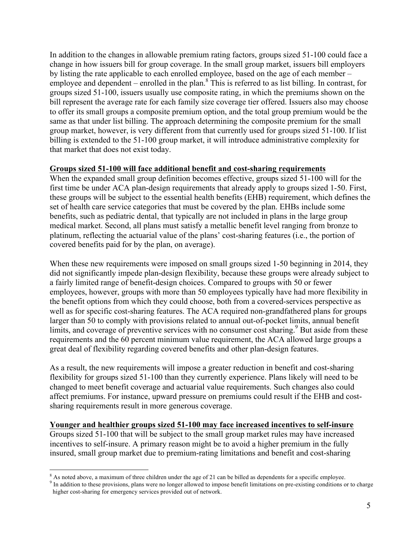In addition to the changes in allowable premium rating factors, groups sized 51-100 could face a change in how issuers bill for group coverage. In the small group market, issuers bill employers by listing the rate applicable to each enrolled employee, based on the age of each member – employee and dependent – enrolled in the plan. $8$  This is referred to as list billing. In contrast, for groups sized 51-100, issuers usually use composite rating, in which the premiums shown on the bill represent the average rate for each family size coverage tier offered. Issuers also may choose to offer its small groups a composite premium option, and the total group premium would be the same as that under list billing. The approach determining the composite premium for the small group market, however, is very different from that currently used for groups sized 51-100. If list billing is extended to the 51-100 group market, it will introduce administrative complexity for that market that does not exist today.

### **Groups sized 51-100 will face additional benefit and cost-sharing requirements**

When the expanded small group definition becomes effective, groups sized 51-100 will for the first time be under ACA plan-design requirements that already apply to groups sized 1-50. First, these groups will be subject to the essential health benefits (EHB) requirement, which defines the set of health care service categories that must be covered by the plan. EHBs include some benefits, such as pediatric dental, that typically are not included in plans in the large group medical market. Second, all plans must satisfy a metallic benefit level ranging from bronze to platinum, reflecting the actuarial value of the plans' cost-sharing features (i.e., the portion of covered benefits paid for by the plan, on average).

When these new requirements were imposed on small groups sized 1-50 beginning in 2014, they did not significantly impede plan-design flexibility, because these groups were already subject to a fairly limited range of benefit-design choices. Compared to groups with 50 or fewer employees, however, groups with more than 50 employees typically have had more flexibility in the benefit options from which they could choose, both from a covered-services perspective as well as for specific cost-sharing features. The ACA required non-grandfathered plans for groups larger than 50 to comply with provisions related to annual out-of-pocket limits, annual benefit limits, and coverage of preventive services with no consumer cost sharing.<sup>9</sup> But aside from these requirements and the 60 percent minimum value requirement, the ACA allowed large groups a great deal of flexibility regarding covered benefits and other plan-design features.

As a result, the new requirements will impose a greater reduction in benefit and cost-sharing flexibility for groups sized 51-100 than they currently experience. Plans likely will need to be changed to meet benefit coverage and actuarial value requirements. Such changes also could affect premiums. For instance, upward pressure on premiums could result if the EHB and costsharing requirements result in more generous coverage.

#### **Younger and healthier groups sized 51-100 may face increased incentives to self-insure**

Groups sized 51-100 that will be subject to the small group market rules may have increased incentives to self-insure. A primary reason might be to avoid a higher premium in the fully insured, small group market due to premium-rating limitations and benefit and cost-sharing

 $\degree$  As noted above, a maximum of three children under the age of 21 can be billed as dependents for a specific employee.<br><sup>9</sup> In addition to these provisions, plans were no longer allowed to impose benefit limitations on higher cost-sharing for emergency services provided out of network.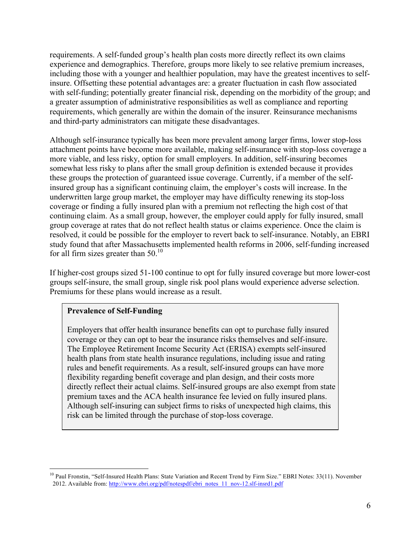requirements. A self-funded group's health plan costs more directly reflect its own claims experience and demographics. Therefore, groups more likely to see relative premium increases, including those with a younger and healthier population, may have the greatest incentives to selfinsure. Offsetting these potential advantages are: a greater fluctuation in cash flow associated with self-funding; potentially greater financial risk, depending on the morbidity of the group; and a greater assumption of administrative responsibilities as well as compliance and reporting requirements, which generally are within the domain of the insurer. Reinsurance mechanisms and third-party administrators can mitigate these disadvantages.

Although self-insurance typically has been more prevalent among larger firms, lower stop-loss attachment points have become more available, making self-insurance with stop-loss coverage a more viable, and less risky, option for small employers. In addition, self-insuring becomes somewhat less risky to plans after the small group definition is extended because it provides these groups the protection of guaranteed issue coverage. Currently, if a member of the selfinsured group has a significant continuing claim, the employer's costs will increase. In the underwritten large group market, the employer may have difficulty renewing its stop-loss coverage or finding a fully insured plan with a premium not reflecting the high cost of that continuing claim. As a small group, however, the employer could apply for fully insured, small group coverage at rates that do not reflect health status or claims experience. Once the claim is resolved, it could be possible for the employer to revert back to self-insurance. Notably, an EBRI study found that after Massachusetts implemented health reforms in 2006, self-funding increased for all firm sizes greater than  $50^{10}$ 

If higher-cost groups sized 51-100 continue to opt for fully insured coverage but more lower-cost groups self-insure, the small group, single risk pool plans would experience adverse selection. Premiums for these plans would increase as a result.

### **Prevalence of Self-Funding**

Employers that offer health insurance benefits can opt to purchase fully insured coverage or they can opt to bear the insurance risks themselves and self-insure. The Employee Retirement Income Security Act (ERISA) exempts self-insured health plans from state health insurance regulations, including issue and rating rules and benefit requirements. As a result, self-insured groups can have more flexibility regarding benefit coverage and plan design, and their costs more directly reflect their actual claims. Self-insured groups are also exempt from state premium taxes and the ACA health insurance fee levied on fully insured plans. Although self-insuring can subject firms to risks of unexpected high claims, this risk can be limited through the purchase of stop-loss coverage.

<sup>&</sup>lt;sup>10</sup> Paul Fronstin, "Self-Insured Health Plans: State Variation and Recent Trend by Firm Size." EBRI Notes: 33(11). November 2012. Available from: http://www.ebri.org/pdf/notespdf/ebri\_notes\_11\_nov-12.slf-insrd1.pdf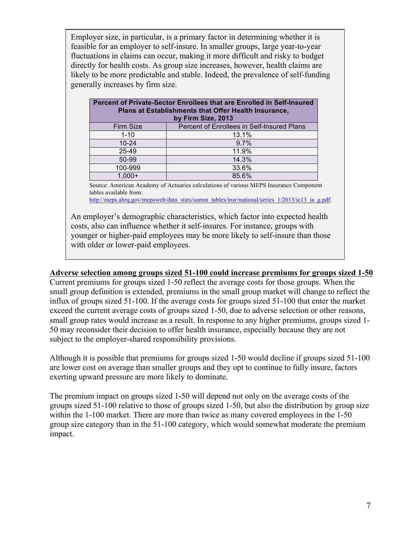Employer size, in particular, is a primary factor in determining whether it is feasible for an employer to self-insure. In smaller groups, large year-to-year fluctuations in claims can occur, making it more difficult and risky to budget directly for health costs. As group size increases, however, health claims are likely to be more predictable and stable. Indeed, the prevalence of self-funding generally increases by firm size.

| Percent of Private-Sector Enrollees that are Enrolled in Self-Insured<br>Plans at Establishments that Offer Health Insurance,<br>by Firm Size, 2013 |                                            |  |  |
|-----------------------------------------------------------------------------------------------------------------------------------------------------|--------------------------------------------|--|--|
| Firm Size                                                                                                                                           | Percent of Enrollees in Self-Insured Plans |  |  |
| $1 - 10$                                                                                                                                            | 13.1%                                      |  |  |
| $10 - 24$                                                                                                                                           | 9.7%                                       |  |  |
| 25-49                                                                                                                                               | 11.9%                                      |  |  |
| 50-99                                                                                                                                               | 14.3%                                      |  |  |
| 100-999                                                                                                                                             | 33.6%                                      |  |  |
| $1,000+$                                                                                                                                            | 85.6%                                      |  |  |

Source: American Academy of Actuaries calculations of various MEPS Insurance Component tables available from:

http://meps.ahrq.gov/mepsweb/data\_stats/summ\_tables/insr/national/series\_1/2013/ic13\_ia\_g.pdf.

An employer's demographic characteristics, which factor into expected health costs, also can influence whether it self-insures. For instance, groups with younger or higher-paid employees may be more likely to self-insure than those with older or lower-paid employees.

### **Adverse selection among groups sized 51-100 could increase premiums for groups sized 1-50**

Current premiums for groups sized 1-50 reflect the average costs for those groups. When the small group definition is extended, premiums in the small group market will change to reflect the influx of groups sized 51-100. If the average costs for groups sized 51-100 that enter the market exceed the current average costs of groups sized 1-50, due to adverse selection or other reasons, small group rates would increase as a result. In response to any higher premiums, groups sized 1- 50 may reconsider their decision to offer health insurance, especially because they are not subject to the employer-shared responsibility provisions.

Although it is possible that premiums for groups sized 1-50 would decline if groups sized 51-100 are lower cost on average than smaller groups and they opt to continue to fully insure, factors exerting upward pressure are more likely to dominate.

The premium impact on groups sized 1-50 will depend not only on the average costs of the groups sized 51-100 relative to those of groups sized 1-50, but also the distribution by group size within the 1-100 market. There are more than twice as many covered employees in the 1-50 group size category than in the 51-100 category, which would somewhat moderate the premium impact.